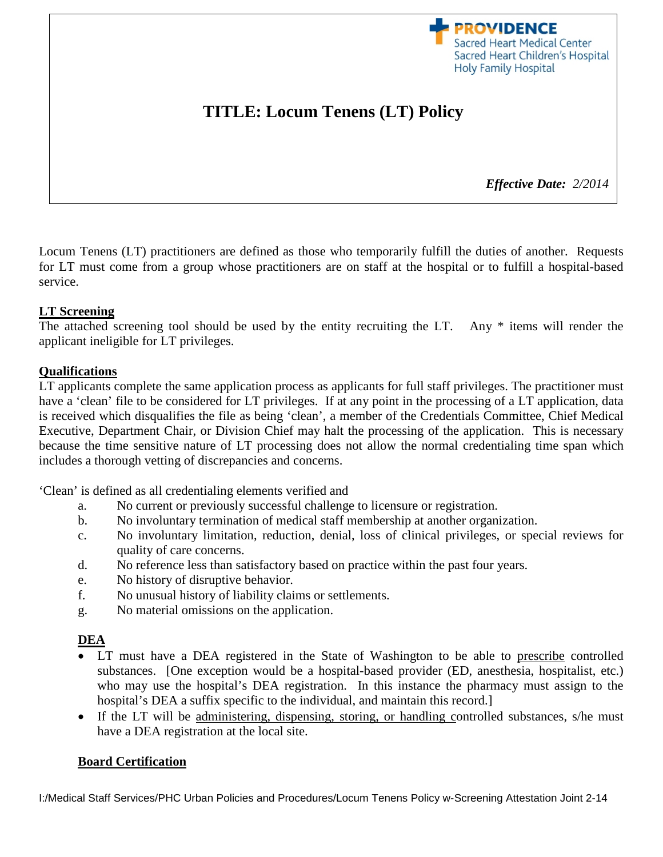**PROVIDENCE** Sacred Heart Medical Center Sacred Heart Children's Hospital **Holy Family Hospital** 

# **TITLE: Locum Tenens (LT) Policy**

*Effective Date: 2/2014*

Locum Tenens (LT) practitioners are defined as those who temporarily fulfill the duties of another. Requests for LT must come from a group whose practitioners are on staff at the hospital or to fulfill a hospital-based service.

#### **LT Screening**

The attached screening tool should be used by the entity recruiting the LT. Any \* items will render the applicant ineligible for LT privileges.

#### **Qualifications**

LT applicants complete the same application process as applicants for full staff privileges. The practitioner must have a 'clean' file to be considered for LT privileges. If at any point in the processing of a LT application, data is received which disqualifies the file as being 'clean', a member of the Credentials Committee, Chief Medical Executive, Department Chair, or Division Chief may halt the processing of the application. This is necessary because the time sensitive nature of LT processing does not allow the normal credentialing time span which includes a thorough vetting of discrepancies and concerns.

'Clean' is defined as all credentialing elements verified and

- a. No current or previously successful challenge to licensure or registration.
- b. No involuntary termination of medical staff membership at another organization.
- c. No involuntary limitation, reduction, denial, loss of clinical privileges, or special reviews for quality of care concerns.
- d. No reference less than satisfactory based on practice within the past four years.
- e. No history of disruptive behavior.
- f. No unusual history of liability claims or settlements.
- g. No material omissions on the application.

#### **DEA**

- LT must have a DEA registered in the State of Washington to be able to prescribe controlled substances. [One exception would be a hospital-based provider (ED, anesthesia, hospitalist, etc.) who may use the hospital's DEA registration. In this instance the pharmacy must assign to the hospital's DEA a suffix specific to the individual, and maintain this record.
- If the LT will be administering, dispensing, storing, or handling controlled substances, s/he must have a DEA registration at the local site.

#### **Board Certification**

I:/Medical Staff Services/PHC Urban Policies and Procedures/Locum Tenens Policy w-Screening Attestation Joint 2-14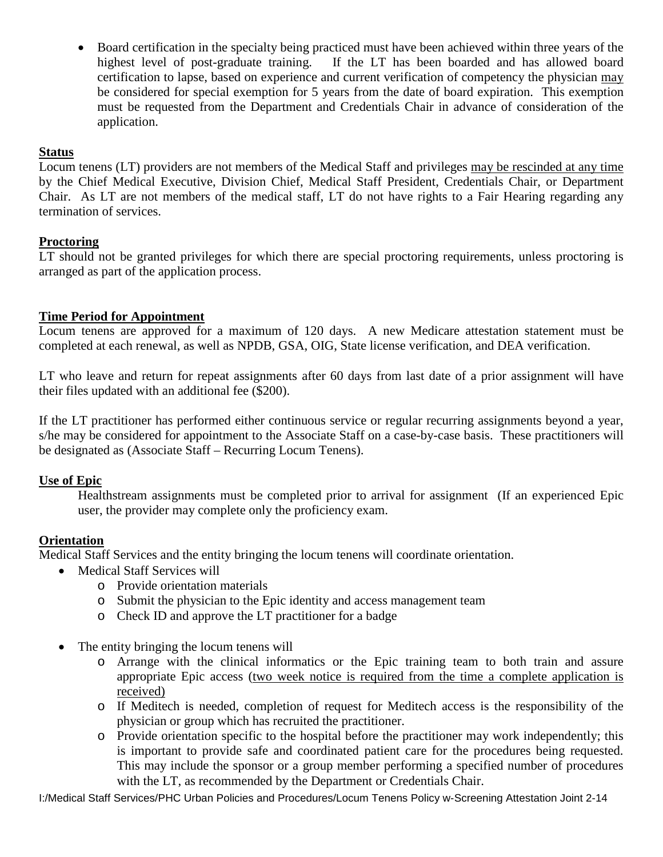• Board certification in the specialty being practiced must have been achieved within three years of the highest level of post-graduate training. If the LT has been boarded and has allowed board certification to lapse, based on experience and current verification of competency the physician may be considered for special exemption for 5 years from the date of board expiration. This exemption must be requested from the Department and Credentials Chair in advance of consideration of the application.

### **Status**

Locum tenens (LT) providers are not members of the Medical Staff and privileges may be rescinded at any time by the Chief Medical Executive, Division Chief, Medical Staff President, Credentials Chair, or Department Chair. As LT are not members of the medical staff, LT do not have rights to a Fair Hearing regarding any termination of services.

## **Proctoring**

LT should not be granted privileges for which there are special proctoring requirements, unless proctoring is arranged as part of the application process.

## **Time Period for Appointment**

Locum tenens are approved for a maximum of 120 days. A new Medicare attestation statement must be completed at each renewal, as well as NPDB, GSA, OIG, State license verification, and DEA verification.

LT who leave and return for repeat assignments after 60 days from last date of a prior assignment will have their files updated with an additional fee (\$200).

If the LT practitioner has performed either continuous service or regular recurring assignments beyond a year, s/he may be considered for appointment to the Associate Staff on a case-by-case basis. These practitioners will be designated as (Associate Staff – Recurring Locum Tenens).

#### **Use of Epic**

Healthstream assignments must be completed prior to arrival for assignment (If an experienced Epic user, the provider may complete only the proficiency exam.

## **Orientation**

Medical Staff Services and the entity bringing the locum tenens will coordinate orientation.

- Medical Staff Services will
	- o Provide orientation materials
	- o Submit the physician to the Epic identity and access management team
	- o Check ID and approve the LT practitioner for a badge
- The entity bringing the locum tenens will
	- o Arrange with the clinical informatics or the Epic training team to both train and assure appropriate Epic access (two week notice is required from the time a complete application is received)
	- o If Meditech is needed, completion of request for Meditech access is the responsibility of the physician or group which has recruited the practitioner.
	- o Provide orientation specific to the hospital before the practitioner may work independently; this is important to provide safe and coordinated patient care for the procedures being requested. This may include the sponsor or a group member performing a specified number of procedures with the LT, as recommended by the Department or Credentials Chair.

I:/Medical Staff Services/PHC Urban Policies and Procedures/Locum Tenens Policy w-Screening Attestation Joint 2-14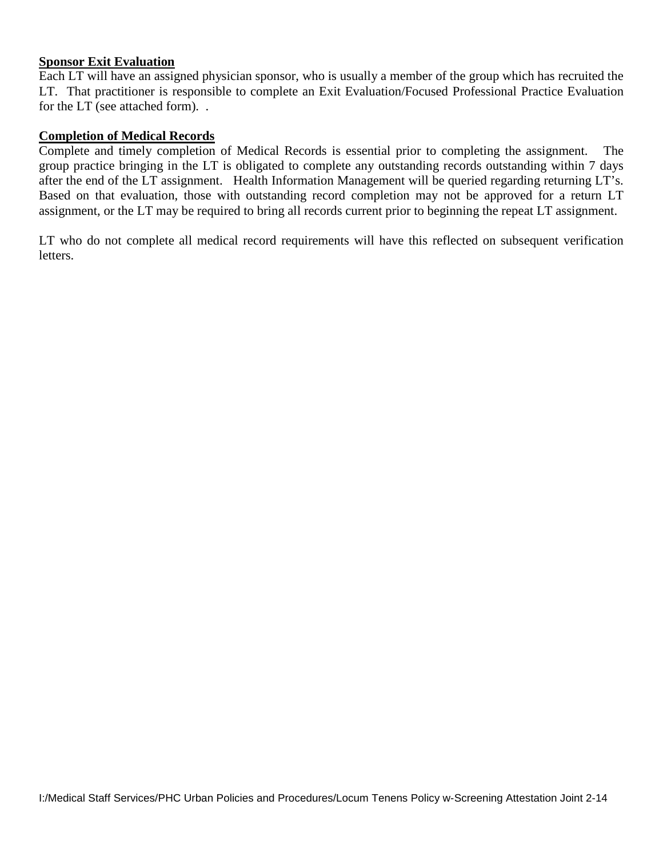#### **Sponsor Exit Evaluation**

Each LT will have an assigned physician sponsor, who is usually a member of the group which has recruited the LT. That practitioner is responsible to complete an Exit Evaluation/Focused Professional Practice Evaluation for the LT (see attached form). .

#### **Completion of Medical Records**

Complete and timely completion of Medical Records is essential prior to completing the assignment. The group practice bringing in the LT is obligated to complete any outstanding records outstanding within 7 days after the end of the LT assignment. Health Information Management will be queried regarding returning LT's. Based on that evaluation, those with outstanding record completion may not be approved for a return LT assignment, or the LT may be required to bring all records current prior to beginning the repeat LT assignment.

LT who do not complete all medical record requirements will have this reflected on subsequent verification letters.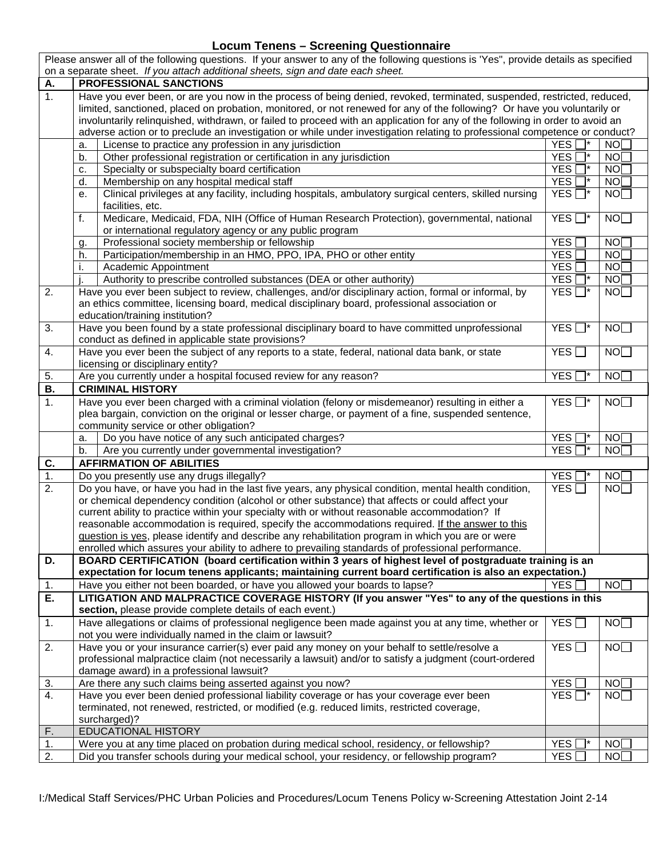### **Locum Tenens – Screening Questionnaire**

Please answer all of the following questions. If your answer to any of the following questions is 'Yes", provide details as specified

 $\mathcal{L}$ 

|                              |                                                                                                                               | on a separate sheet. If you attach additional sheets, sign and date each sheet. |    |  |  |
|------------------------------|-------------------------------------------------------------------------------------------------------------------------------|---------------------------------------------------------------------------------|----|--|--|
| PROFESSIONAL SANCTIONS<br>Α. |                                                                                                                               |                                                                                 |    |  |  |
| $\mathbf{1}$ .               | Have you ever been, or are you now in the process of being denied, revoked, terminated, suspended, restricted, reduced,       |                                                                                 |    |  |  |
|                              | limited, sanctioned, placed on probation, monitored, or not renewed for any of the following? Or have you voluntarily or      |                                                                                 |    |  |  |
|                              | involuntarily relinquished, withdrawn, or failed to proceed with an application for any of the following in order to avoid an |                                                                                 |    |  |  |
|                              | adverse action or to preclude an investigation or while under investigation relating to professional competence or conduct?   |                                                                                 |    |  |  |
|                              | License to practice any profession in any jurisdiction<br>a.                                                                  | YES <sup>I</sup>                                                                | NO |  |  |
|                              | Other professional registration or certification in any jurisdiction<br>b.                                                    | YES <sup></sup>                                                                 | NO |  |  |
|                              | Specialty or subspecialty board certification<br>c.                                                                           | YES <sup></sup>                                                                 | NO |  |  |
|                              | Membership on any hospital medical staff<br>d.                                                                                | YES <sup></sup>                                                                 | NO |  |  |
|                              | Clinical privileges at any facility, including hospitals, ambulatory surgical centers, skilled nursing<br>е.                  | YES $\Box^*$                                                                    | NO |  |  |
|                              | facilities, etc.                                                                                                              |                                                                                 |    |  |  |
|                              | Medicare, Medicaid, FDA, NIH (Office of Human Research Protection), governmental, national<br>f.                              | YES $\square^*$                                                                 | NO |  |  |
|                              | or international regulatory agency or any public program                                                                      |                                                                                 |    |  |  |
|                              | Professional society membership or fellowship<br>g.                                                                           | YES <sup></sup>                                                                 | NO |  |  |
|                              | Participation/membership in an HMO, PPO, IPA, PHO or other entity<br>h.                                                       | YES <sup></sup>                                                                 | NO |  |  |
|                              | Academic Appointment<br>i.                                                                                                    | YES <sup></sup>                                                                 | NO |  |  |
|                              | Authority to prescribe controlled substances (DEA or other authority)                                                         | YES <sup></sup>                                                                 | NO |  |  |
| 2.                           | Have you ever been subject to review, challenges, and/or disciplinary action, formal or informal, by                          | YES $\Box^*$                                                                    | NO |  |  |
|                              | an ethics committee, licensing board, medical disciplinary board, professional association or                                 |                                                                                 |    |  |  |
|                              | education/training institution?                                                                                               |                                                                                 |    |  |  |
| 3.                           | Have you been found by a state professional disciplinary board to have committed unprofessional                               | $YES \nightharpoonup^*$                                                         | NO |  |  |
|                              | conduct as defined in applicable state provisions?                                                                            |                                                                                 |    |  |  |
| 4.                           | Have you ever been the subject of any reports to a state, federal, national data bank, or state                               | YES                                                                             | NO |  |  |
|                              | licensing or disciplinary entity?                                                                                             |                                                                                 |    |  |  |
| 5.                           | Are you currently under a hospital focused review for any reason?                                                             | YES <sup></sup>                                                                 | NO |  |  |
| <b>B.</b>                    | <b>CRIMINAL HISTORY</b>                                                                                                       |                                                                                 |    |  |  |
| 1.                           | Have you ever been charged with a criminal violation (felony or misdemeanor) resulting in either a                            | YES $\Box^*$                                                                    | NO |  |  |
|                              | plea bargain, conviction on the original or lesser charge, or payment of a fine, suspended sentence,                          |                                                                                 |    |  |  |
|                              | community service or other obligation?                                                                                        |                                                                                 |    |  |  |
|                              | Do you have notice of any such anticipated charges?                                                                           | YES <sup>I</sup>                                                                | NO |  |  |
|                              | a.                                                                                                                            | <b>YES</b>                                                                      |    |  |  |
|                              | Are you currently under governmental investigation?<br>b.                                                                     |                                                                                 | NO |  |  |
| C.                           | <b>AFFIRMATION OF ABILITIES</b>                                                                                               |                                                                                 |    |  |  |
| 1.                           | Do you presently use any drugs illegally?                                                                                     | <b>YES</b>                                                                      | NO |  |  |
| 2.                           | Do you have, or have you had in the last five years, any physical condition, mental health condition,                         | YES                                                                             | NO |  |  |
|                              | or chemical dependency condition (alcohol or other substance) that affects or could affect your                               |                                                                                 |    |  |  |
|                              | current ability to practice within your specialty with or without reasonable accommodation? If                                |                                                                                 |    |  |  |
|                              | reasonable accommodation is required, specify the accommodations required. If the answer to this                              |                                                                                 |    |  |  |
|                              | question is yes, please identify and describe any rehabilitation program in which you are or were                             |                                                                                 |    |  |  |
|                              | enrolled which assures your ability to adhere to prevailing standards of professional performance.                            |                                                                                 |    |  |  |
| D.                           | BOARD CERTIFICATION (board certification within 3 years of highest level of postgraduate training is an                       |                                                                                 |    |  |  |
|                              | expectation for locum tenens applicants; maintaining current board certification is also an expectation.)                     |                                                                                 |    |  |  |
| 1.                           | Have you either not been boarded, or have you allowed your boards to lapse?                                                   | <b>YES</b>                                                                      | NO |  |  |
| E.                           | LITIGATION AND MALPRACTICE COVERAGE HISTORY (If you answer "Yes" to any of the questions in this                              |                                                                                 |    |  |  |
|                              | section, please provide complete details of each event.)                                                                      |                                                                                 |    |  |  |
| 1.                           | Have allegations or claims of professional negligence been made against you at any time, whether or                           | YES                                                                             | NO |  |  |
|                              | not you were individually named in the claim or lawsuit?                                                                      |                                                                                 |    |  |  |
| 2.                           | Have you or your insurance carrier(s) ever paid any money on your behalf to settle/resolve a                                  | YES $\Box$                                                                      | NO |  |  |
|                              | professional malpractice claim (not necessarily a lawsuit) and/or to satisfy a judgment (court-ordered                        |                                                                                 |    |  |  |
|                              | damage award) in a professional lawsuit?                                                                                      |                                                                                 |    |  |  |
| 3.                           | Are there any such claims being asserted against you now?                                                                     | YES <sup></sup>                                                                 | NO |  |  |
| 4.                           | Have you ever been denied professional liability coverage or has your coverage ever been                                      | YES <sup>I</sup><br>$\overline{\phantom{a}}$                                    | NO |  |  |
|                              | terminated, not renewed, restricted, or modified (e.g. reduced limits, restricted coverage,                                   |                                                                                 |    |  |  |
|                              | surcharged)?                                                                                                                  |                                                                                 |    |  |  |
| F.                           | EDUCATIONAL HISTORY                                                                                                           |                                                                                 |    |  |  |
| 1.                           | Were you at any time placed on probation during medical school, residency, or fellowship?                                     | YES <sup></sup>                                                                 | NO |  |  |
| 2.                           | Did you transfer schools during your medical school, your residency, or fellowship program?                                   | YES                                                                             | NO |  |  |